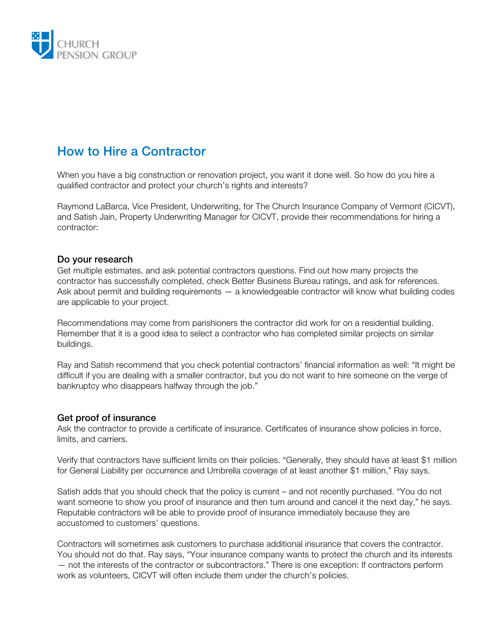

# How to Hire a Contractor

When you have a big construction or renovation project, you want it done well. So how do you hire a qualified contractor and protect your church's rights and interests?

Raymond LaBarca, Vice President, Underwriting, for The Church Insurance Company of Vermont (CICVT), and Satish Jain, Property Underwriting Manager for CICVT, provide their recommendations for hiring a contractor:

#### Do your research

Get multiple estimates, and ask potential contractors questions. Find out how many projects the contractor has successfully completed, check Better Business Bureau ratings, and ask for references. Ask about permit and building requirements — a knowledgeable contractor will know what building codes are applicable to your project.

Recommendations may come from parishioners the contractor did work for on a residential building. Remember that it is a good idea to select a contractor who has completed similar projects on similar buildings.

Ray and Satish recommend that you check potential contractors' financial information as well: "It might be difficult if you are dealing with a smaller contractor, but you do not want to hire someone on the verge of bankruptcy who disappears halfway through the job."

### Get proof of insurance

Ask the contractor to provide a certificate of insurance. Certificates of insurance show policies in force, limits, and carriers.

Verify that contractors have sufficient limits on their policies. "Generally, they should have at least \$1 million for General Liability per occurrence and Umbrella coverage of at least another \$1 million," Ray says.

Satish adds that you should check that the policy is current – and not recently purchased. "You do not want someone to show you proof of insurance and then turn around and cancel it the next day," he says. Reputable contractors will be able to provide proof of insurance immediately because they are accustomed to customers' questions.

Contractors will sometimes ask customers to purchase additional insurance that covers the contractor. You should not do that. Ray says, "Your insurance company wants to protect the church and its interests — not the interests of the contractor or subcontractors." There is one exception: If contractors perform work as volunteers, CICVT will often include them under the church's policies.